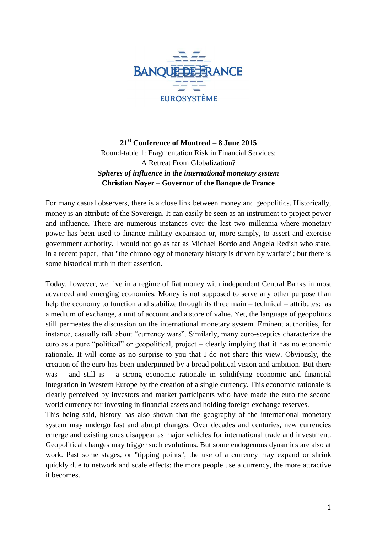

**21st Conference of Montreal – 8 June 2015** Round-table 1: Fragmentation Risk in Financial Services: A Retreat From Globalization? *Spheres of influence in the international monetary system* **Christian Noyer – Governor of the Banque de France**

For many casual observers, there is a close link between money and geopolitics. Historically, money is an attribute of the Sovereign. It can easily be seen as an instrument to project power and influence. There are numerous instances over the last two millennia where monetary power has been used to finance military expansion or, more simply, to assert and exercise government authority. I would not go as far as Michael Bordo and Angela Redish who state, in a recent paper, that "the chronology of monetary history is driven by warfare"; but there is some historical truth in their assertion.

Today, however, we live in a regime of fiat money with independent Central Banks in most advanced and emerging economies. Money is not supposed to serve any other purpose than help the economy to function and stabilize through its three main – technical – attributes: as a medium of exchange, a unit of account and a store of value. Yet, the language of geopolitics still permeates the discussion on the international monetary system. Eminent authorities, for instance, casually talk about "currency wars". Similarly, many euro-sceptics characterize the euro as a pure "political" or geopolitical, project – clearly implying that it has no economic rationale. It will come as no surprise to you that I do not share this view. Obviously, the creation of the euro has been underpinned by a broad political vision and ambition. But there was – and still is – a strong economic rationale in solidifying economic and financial integration in Western Europe by the creation of a single currency. This economic rationale is clearly perceived by investors and market participants who have made the euro the second world currency for investing in financial assets and holding foreign exchange reserves.

This being said, history has also shown that the geography of the international monetary system may undergo fast and abrupt changes. Over decades and centuries, new currencies emerge and existing ones disappear as major vehicles for international trade and investment. Geopolitical changes may trigger such evolutions. But some endogenous dynamics are also at work. Past some stages, or "tipping points", the use of a currency may expand or shrink quickly due to network and scale effects: the more people use a currency, the more attractive it becomes.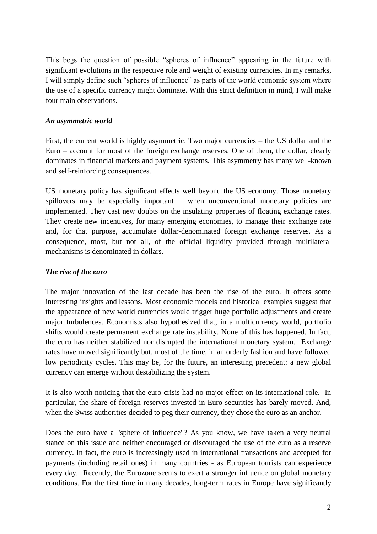This begs the question of possible "spheres of influence" appearing in the future with significant evolutions in the respective role and weight of existing currencies. In my remarks, I will simply define such "spheres of influence" as parts of the world economic system where the use of a specific currency might dominate. With this strict definition in mind, I will make four main observations.

## *An asymmetric world*

First, the current world is highly asymmetric. Two major currencies – the US dollar and the Euro – account for most of the foreign exchange reserves. One of them, the dollar, clearly dominates in financial markets and payment systems. This asymmetry has many well-known and self-reinforcing consequences.

US monetary policy has significant effects well beyond the US economy. Those monetary spillovers may be especially important when unconventional monetary policies are implemented. They cast new doubts on the insulating properties of floating exchange rates. They create new incentives, for many emerging economies, to manage their exchange rate and, for that purpose, accumulate dollar-denominated foreign exchange reserves. As a consequence, most, but not all, of the official liquidity provided through multilateral mechanisms is denominated in dollars.

## *The rise of the euro*

The major innovation of the last decade has been the rise of the euro. It offers some interesting insights and lessons. Most economic models and historical examples suggest that the appearance of new world currencies would trigger huge portfolio adjustments and create major turbulences. Economists also hypothesized that, in a multicurrency world, portfolio shifts would create permanent exchange rate instability. None of this has happened. In fact, the euro has neither stabilized nor disrupted the international monetary system. Exchange rates have moved significantly but, most of the time, in an orderly fashion and have followed low periodicity cycles. This may be, for the future, an interesting precedent: a new global currency can emerge without destabilizing the system.

It is also worth noticing that the euro crisis had no major effect on its international role. In particular, the share of foreign reserves invested in Euro securities has barely moved. And, when the Swiss authorities decided to peg their currency, they chose the euro as an anchor.

Does the euro have a "sphere of influence"? As you know, we have taken a very neutral stance on this issue and neither encouraged or discouraged the use of the euro as a reserve currency. In fact, the euro is increasingly used in international transactions and accepted for payments (including retail ones) in many countries - as European tourists can experience every day. Recently, the Eurozone seems to exert a stronger influence on global monetary conditions. For the first time in many decades, long-term rates in Europe have significantly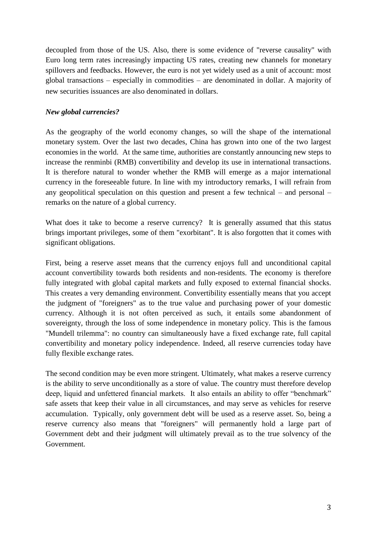decoupled from those of the US. Also, there is some evidence of "reverse causality" with Euro long term rates increasingly impacting US rates, creating new channels for monetary spillovers and feedbacks. However, the euro is not yet widely used as a unit of account: most global transactions – especially in commodities – are denominated in dollar. A majority of new securities issuances are also denominated in dollars.

## *New global currencies?*

As the geography of the world economy changes, so will the shape of the international monetary system. Over the last two decades, China has grown into one of the two largest economies in the world. At the same time, authorities are constantly announcing new steps to increase the renminbi (RMB) convertibility and develop its use in international transactions. It is therefore natural to wonder whether the RMB will emerge as a major international currency in the foreseeable future. In line with my introductory remarks, I will refrain from any geopolitical speculation on this question and present a few technical – and personal – remarks on the nature of a global currency.

What does it take to become a reserve currency? It is generally assumed that this status brings important privileges, some of them "exorbitant". It is also forgotten that it comes with significant obligations.

First, being a reserve asset means that the currency enjoys full and unconditional capital account convertibility towards both residents and non-residents. The economy is therefore fully integrated with global capital markets and fully exposed to external financial shocks. This creates a very demanding environment. Convertibility essentially means that you accept the judgment of "foreigners" as to the true value and purchasing power of your domestic currency. Although it is not often perceived as such, it entails some abandonment of sovereignty, through the loss of some independence in monetary policy. This is the famous "Mundell trilemma": no country can simultaneously have a fixed exchange rate, full capital convertibility and monetary policy independence. Indeed, all reserve currencies today have fully flexible exchange rates.

The second condition may be even more stringent. Ultimately, what makes a reserve currency is the ability to serve unconditionally as a store of value. The country must therefore develop deep, liquid and unfettered financial markets. It also entails an ability to offer "benchmark" safe assets that keep their value in all circumstances, and may serve as vehicles for reserve accumulation. Typically, only government debt will be used as a reserve asset. So, being a reserve currency also means that "foreigners" will permanently hold a large part of Government debt and their judgment will ultimately prevail as to the true solvency of the Government.